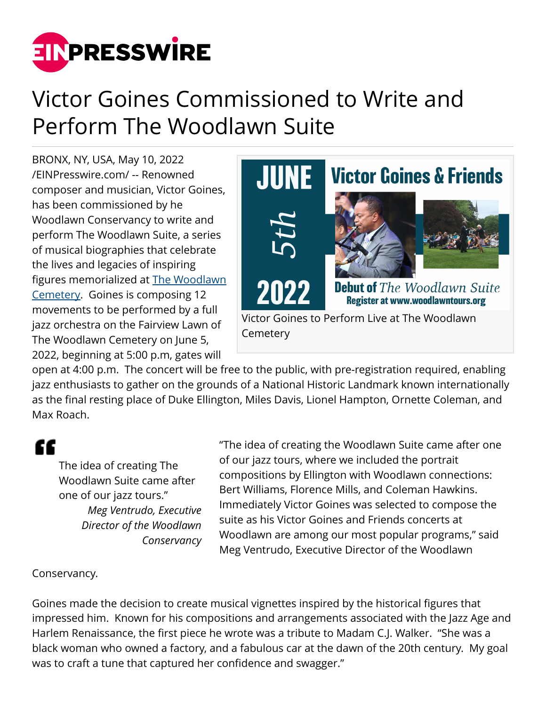

## Victor Goines Commissioned to Write and Perform The Woodlawn Suite

BRONX, NY, USA, May 10, 2022 [/EINPresswire.com/](http://www.einpresswire.com) -- Renowned composer and musician, Victor Goines, has been commissioned by he Woodlawn Conservancy to write and perform The Woodlawn Suite, a series of musical biographies that celebrate the lives and legacies of inspiring figures memorialized at [The Woodlawn](http://www.woodlawn.org) [Cemetery](http://www.woodlawn.org). Goines is composing 12 movements to be performed by a full jazz orchestra on the Fairview Lawn of The Woodlawn Cemetery on June 5, 2022, beginning at 5:00 p.m, gates will



open at 4:00 p.m. The concert will be free to the public, with pre-registration required, enabling jazz enthusiasts to gather on the grounds of a National Historic Landmark known internationally as the final resting place of Duke Ellington, Miles Davis, Lionel Hampton, Ornette Coleman, and Max Roach.

## "

The idea of creating The Woodlawn Suite came after one of our jazz tours." *Meg Ventrudo, Executive Director of the Woodlawn Conservancy* "The idea of creating the Woodlawn Suite came after one of our jazz tours, where we included the portrait compositions by Ellington with Woodlawn connections: Bert Williams, Florence Mills, and Coleman Hawkins. Immediately Victor Goines was selected to compose the suite as his Victor Goines and Friends concerts at Woodlawn are among our most popular programs," said Meg Ventrudo, Executive Director of the Woodlawn

## Conservancy.

Goines made the decision to create musical vignettes inspired by the historical figures that impressed him. Known for his compositions and arrangements associated with the Jazz Age and Harlem Renaissance, the first piece he wrote was a tribute to Madam C.J. Walker. "She was a black woman who owned a factory, and a fabulous car at the dawn of the 20th century. My goal was to craft a tune that captured her confidence and swagger."